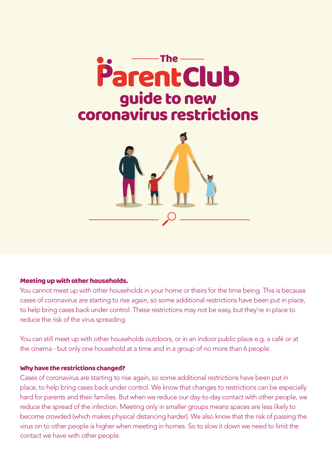

#### Meeting up with other households.

You cannot meet up with other households in your home or theirs for the time being. This is because cases of coronavirus are starting to rise again, so some additional restrictions have been put in place, to help bring cases back under control. These restrictions may not be easy, but they're in place to reduce the risk of the virus spreading.

You can still meet up with other households outdoors, or in an indoor public place e.g. a café or at the cinema - but only one household at a time and in a group of no more than 6 people.

#### Why have the restrictions changed?

Cases of coronavirus are starting to rise again, so some additional restrictions have been put in place, to help bring cases back under control. We know that changes to restrictions can be especially hard for parents and their families. But when we reduce our day-to-day contact with other people, we reduce the spread of the infection. Meeting only in smaller groups means spaces are less likely to become crowded (which makes physical distancing harder). We also know that the risk of passing the virus on to other people is higher when meeting in homes. So to slow it down we need to limit the contact we have with other people.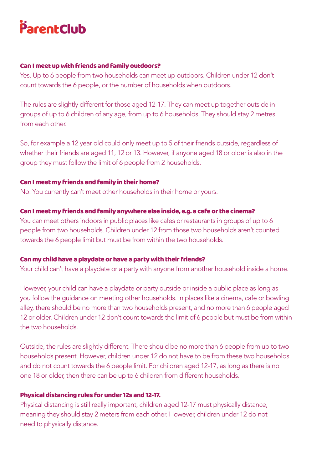# $\mathcal{S}_{\mathcal{S}}$

#### Can I meet up with friends and family outdoors?

Yes. Up to 6 people from two households can meet up outdoors. Children under 12 don't count towards the 6 people, or the number of households when outdoors.

The rules are slightly different for those aged 12-17. They can meet up together outside in groups of up to 6 children of any age, from up to 6 households. They should stay 2 metres from each other.

So, for example a 12 year old could only meet up to 5 of their friends outside, regardless of whether their friends are aged 11, 12 or 13. However, if anyone aged 18 or older is also in the group they must follow the limit of 6 people from 2 households.

## Can I meet my friends and family in their home?

No. You currently can't meet other households in their home or yours.

#### Can I meet my friends and family anywhere else inside, e.g. a cafe or the cinema?

You can meet others indoors in public places like cafes or restaurants in groups of up to 6 people from two households. Children under 12 from those two households aren't counted towards the 6 people limit but must be from within the two households.

## Can my child have a playdate or have a party with their friends?

Your child can't have a playdate or a party with anyone from another household inside a home.

However, your child can have a playdate or party outside or inside a public place as long as you follow the guidance on meeting other households. In places like a cinema, cafe or bowling alley, there should be no more than two households present, and no more than 6 people aged 12 or older. Children under 12 don't count towards the limit of 6 people but must be from within the two households.

Outside, the rules are slightly different. There should be no more than 6 people from up to two households present. However, children under 12 do not have to be from these two households and do not count towards the 6 people limit. For children aged 12-17, as long as there is no one 18 or older, then there can be up to 6 children from different households.

## Physical distancing rules for under 12s and 12-17.

Physical distancing is still really important, children aged 12-17 must physically distance, meaning they should stay 2 meters from each other. However, children under 12 do not need to physically distance.